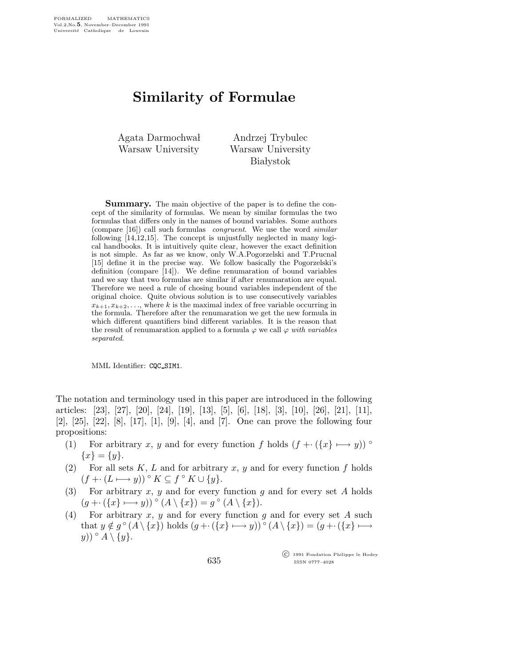## Similarity of Formulae

Agata Darmochwał Warsaw University

Andrzej Trybulec Warsaw University **Białystok** 

Summary. The main objective of the paper is to define the concept of the similarity of formulas. We mean by similar formulas the two formulas that differs only in the names of bound variables. Some authors (compare [16]) call such formulas congruent. We use the word similar following [14,12,15]. The concept is unjustfully neglected in many logical handbooks. It is intuitively quite clear, however the exact definition is not simple. As far as we know, only W.A.Pogorzelski and T.Prucnal [15] define it in the precise way. We follow basically the Pogorzelski's definition (compare [14]). We define renumaration of bound variables and we say that two formulas are similar if after renumaration are equal. Therefore we need a rule of chosing bound variables independent of the original choice. Quite obvious solution is to use consecutively variables  $x_{k+1}, x_{k+2}, \ldots$ , where k is the maximal index of free variable occurring in the formula. Therefore after the renumaration we get the new formula in which different quantifiers bind different variables. It is the reason that the result of renumaration applied to a formula  $\varphi$  we call  $\varphi$  with variables separated.

MML Identifier: CQC SIM1.

The notation and terminology used in this paper are introduced in the following articles: [23], [27], [20], [24], [19], [13], [5], [6], [18], [3], [10], [26], [21], [11], [2], [25], [22], [8], [17], [1], [9], [4], and [7]. One can prove the following four propositions:

- (1) For arbitrary x, y and for every function f holds  $(f + \cdot (\{x\} \mapsto y))$  °  ${x} = {y}.$
- (2) For all sets  $K, L$  and for arbitrary  $x, y$  and for every function f holds  $(f \leftarrow (L \longmapsto y)) \circ K \subseteq f \circ K \cup \{y\}.$
- (3) For arbitrary x, y and for every function g and for every set A holds  $(g \leftarrow (\{x\} \rightarrow y)) \circ (A \setminus \{x\}) = g \circ (A \setminus \{x\}).$
- (4) For arbitrary x, y and for every function g and for every set A such that  $y \notin g^{\circ}(A \setminus \{x\})$  holds  $(g \leftarrow (\{x\} \rightarrowtail y))^{\circ}(A \setminus \{x\}) = (g \leftarrow (\{x\} \rightarrowtail$  $(y)) \circ A \setminus \{y\}.$

 c 1991 Fondation Philippe le Hodey ISSN 0777–4028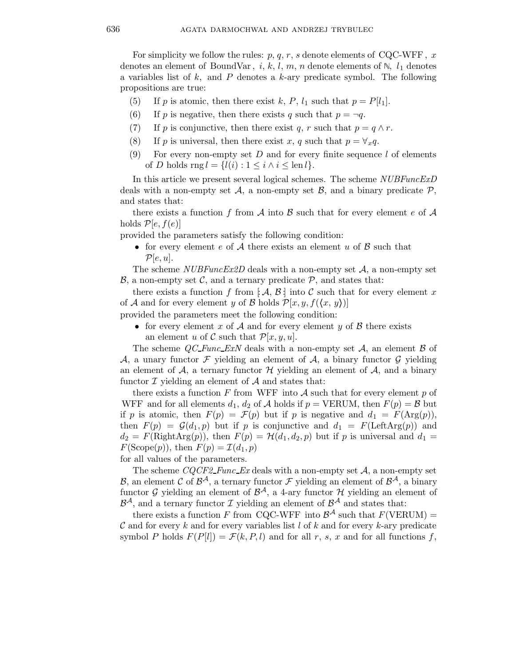For simplicity we follow the rules:  $p, q, r, s$  denote elements of CQC-WFF, x denotes an element of BoundVar, i, k, l, m, n denote elements of  $\mathbb{N}$ ,  $l_1$  denotes a variables list of  $k$ , and  $P$  denotes a  $k$ -ary predicate symbol. The following propositions are true:

- (5) If p is atomic, then there exist k, P,  $l_1$  such that  $p = P[l_1]$ .
- (6) If p is negative, then there exists q such that  $p = \neg q$ .
- (7) If p is conjunctive, then there exist q, r such that  $p = q \wedge r$ .
- (8) If p is universal, then there exist x, q such that  $p = \forall_x q$ .
- (9) For every non-empty set  $D$  and for every finite sequence  $l$  of elements of D holds rng  $l = \{l(i) : 1 \le i \wedge i \le \text{len } l\}.$

In this article we present several logical schemes. The scheme NUBFuncExD deals with a non-empty set  $\mathcal{A}$ , a non-empty set  $\mathcal{B}$ , and a binary predicate  $\mathcal{P}$ , and states that:

there exists a function f from A into B such that for every element e of A holds  $\mathcal{P}[e,f(e)]$ 

provided the parameters satisfy the following condition:

• for every element e of A there exists an element u of  $\mathcal B$  such that  $\mathcal{P}[e, u].$ 

The scheme  $NUBFuncEx2D$  deals with a non-empty set A, a non-empty set  $\mathcal{B}$ , a non-empty set C, and a ternary predicate  $\mathcal{P}$ , and states that:

there exists a function f from  $\mathcal{A}, \mathcal{B}$  into C such that for every element x of A and for every element y of B holds  $\mathcal{P}[x, y, f(\langle x, y \rangle)]$ 

- provided the parameters meet the following condition:
	- for every element x of A and for every element y of B there exists an element u of C such that  $\mathcal{P}[x,y,u]$ .

The scheme  $QC\text{-}Func\text{-}EXN$  deals with a non-empty set A, an element B of A, a unary functor  $\mathcal F$  yielding an element of  $\mathcal A$ , a binary functor  $\mathcal G$  yielding an element of  $A$ , a ternary functor  $H$  yielding an element of  $A$ , and a binary functor  $\mathcal I$  yielding an element of  $\mathcal A$  and states that:

there exists a function  $F$  from WFF into  $A$  such that for every element  $p$  of WFF and for all elements  $d_1, d_2$  of A holds if  $p = \text{VERUM}$ , then  $F(p) = \mathcal{B}$  but if p is atomic, then  $F(p) = \mathcal{F}(p)$  but if p is negative and  $d_1 = F(\text{Arg}(p)),$ then  $F(p) = \mathcal{G}(d_1, p)$  but if p is conjunctive and  $d_1 = F(\text{LeftArg}(p))$  and  $d_2 = F(\text{RightArg}(p))$ , then  $F(p) = H(d_1, d_2, p)$  but if p is universal and  $d_1 =$  $F(\text{Scope}(p)), \text{ then } F(p) = \mathcal{I}(d_1, p)$ 

for all values of the parameters.

The scheme  $CQCF2\text{-}Func\text{-}Ex$  deals with a non-empty set  $A$ , a non-empty set B, an element C of  $\mathcal{B}^{\mathcal{A}}$ , a ternary functor F yielding an element of  $\mathcal{B}^{\mathcal{A}}$ , a binary functor G yielding an element of  $\mathcal{B}^{\mathcal{A}}$ , a 4-ary functor H yielding an element of  $\mathcal{B}^{\mathcal{A}}$ , and a ternary functor  $\mathcal{I}$  yielding an element of  $\mathcal{B}^{\mathcal{A}}$  and states that:

there exists a function F from CQC-WFF into  $\mathcal{B}^{\mathcal{A}}$  such that  $F(\text{VERUM}) =$  $\mathcal C$  and for every k and for every variables list l of k and for every k-ary predicate symbol P holds  $F(P[l]) = \mathcal{F}(k, P, l)$  and for all r, s, x and for all functions f,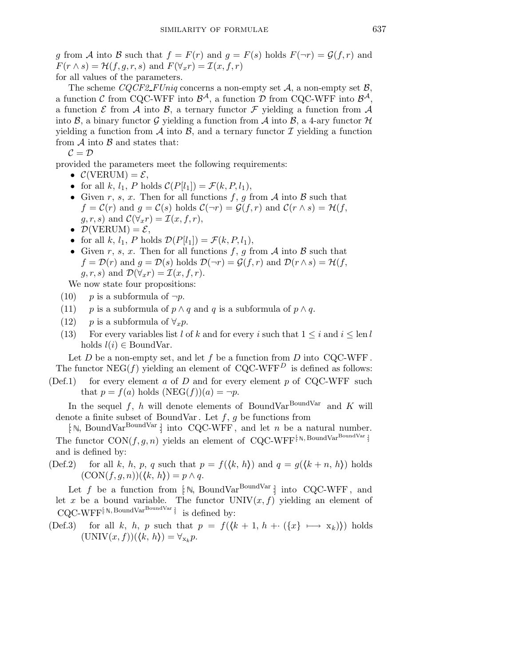g from A into B such that  $f = F(r)$  and  $g = F(s)$  holds  $F(\neg r) = \mathcal{G}(f,r)$  and  $F(r \wedge s) = \mathcal{H}(f, q, r, s)$  and  $F(\forall_x r) = \mathcal{I}(x, f, r)$ for all values of the parameters.

The scheme CQCF2\_FUniq concerns a non-empty set  $A$ , a non-empty set  $B$ , a function C from CQC-WFF into  $\mathcal{B}^{\mathcal{A}}$ , a function D from CQC-WFF into  $\mathcal{B}^{\mathcal{A}}$ , a function  $\mathcal E$  from  $\mathcal A$  into  $\mathcal B$ , a ternary functor  $\mathcal F$  yielding a function from  $\mathcal A$ into B, a binary functor G yielding a function from A into B, a 4-ary functor  $\mathcal H$ yielding a function from A into B, and a ternary functor I yielding a function from  $A$  into  $B$  and states that:

 $\mathcal{C}=\mathcal{D}$ 

provided the parameters meet the following requirements:

- $\mathcal{C}(\text{VERUM}) = \mathcal{E},$
- for all k,  $l_1$ , P holds  $\mathcal{C}(P[l_1]) = \mathcal{F}(k, P, l_1)$ ,
- Given r, s, x. Then for all functions f, g from A into B such that  $f = C(r)$  and  $g = C(s)$  holds  $C(\neg r) = G(f, r)$  and  $C(r \wedge s) = H(f, s)$  $g, r, s$  and  $\mathcal{C}(\forall_x r) = \mathcal{I}(x, f, r),$
- $\mathcal{D}(\text{VERUM}) = \mathcal{E},$
- for all k,  $l_1$ , P holds  $\mathcal{D}(P[l_1]) = \mathcal{F}(k, P, l_1)$ ,
- Given r, s, x. Then for all functions f, g from A into B such that  $f = \mathcal{D}(r)$  and  $g = \mathcal{D}(s)$  holds  $\mathcal{D}(\neg r) = \mathcal{G}(f,r)$  and  $\mathcal{D}(r \wedge s) = \mathcal{H}(f, s)$  $g, r, s$  and  $\mathcal{D}(\forall_x r) = \mathcal{I}(x, f, r)$ .

We now state four propositions:

- (10) p is a subformula of  $\neg p$ .
- (11) *p* is a subformula of  $p \land q$  and q is a subformula of  $p \land q$ .
- (12) *p* is a subformula of  $\forall_x p$ .
- (13) For every variables list l of k and for every i such that  $1 \leq i$  and  $i \leq \text{len } l$ holds  $l(i) \in \text{BoundVar}$ .

Let  $D$  be a non-empty set, and let  $f$  be a function from  $D$  into CQC-WFF. The functor  $NEG(f)$  yielding an element of CQC-WFF<sup>D</sup> is defined as follows:

(Def.1) for every element a of D and for every element p of CQC-WFF such that  $p = f(a)$  holds  $(NEG(f))(a) = \neg p$ .

In the sequel f, h will denote elements of BoundVar<sup>BoundVar</sup> and K will denote a finite subset of BoundVar. Let  $f, g$  be functions from

 $\lceil N, \text{BoundVar}^{\text{BoundVar}} \rceil$  into CQC-WFF, and let n be a natural number. The functor  $CON(f, g, n)$  yields an element of CQC-WFF<sup>[N, BoundVarBoundVar]</sup> and is defined by:

(Def.2) for all k, h, p, q such that  $p = f(\langle k, h \rangle)$  and  $q = g(\langle k + n, h \rangle)$  holds  $(CON(f, g, n))(\langle k, h \rangle) = p \wedge q.$ 

Let f be a function from  $\lceil N, \text{BoundVar} \rceil$  into CQC-WFF, and let x be a bound variable. The functor  $UNIV(x, f)$  yielding an element of  $\text{COC-WFF}^{\{N, \text{BoundVar}^{\text{BoundVar}}\}}$  is defined by:

(Def.3) for all k, h, p such that  $p = f((k + 1, h + (x \rightarrow x_k)))$  holds  $(\text{UNIV}(x, f))(\langle k, h \rangle) = \forall_{\mathbf{x}_k} p.$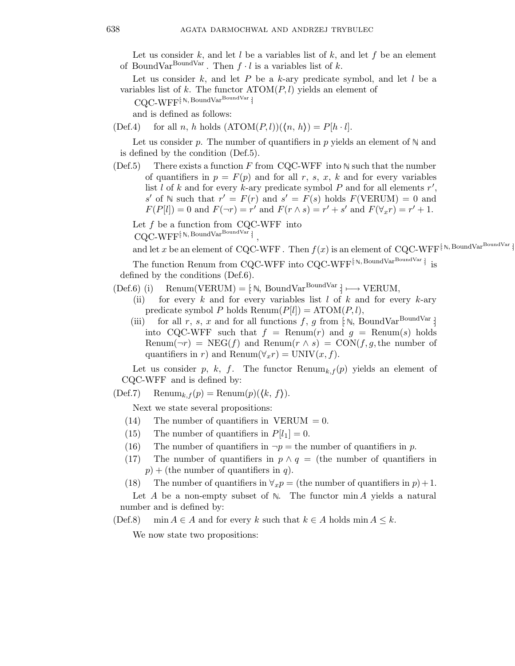Let us consider k, and let l be a variables list of k, and let f be an element of BoundVar<sup>BoundVar</sup>. Then  $f \cdot l$  is a variables list of k.

Let us consider  $k$ , and let  $P$  be a  $k$ -ary predicate symbol, and let  $l$  be a variables list of k. The functor  $ATOM(P, l)$  yields an element of

 $\text{CQC-WFF}^{\text{[N, BoundVar} \text{BoundVar}}$ 

and is defined as follows:

(Def.4) for all n, h holds  $(ATOM(P, l))(\langle n, h \rangle) = P[h \cdot l].$ 

Let us consider p. The number of quantifiers in p yields an element of  $\mathbb N$  and is defined by the condition (Def.5).

(Def.5) There exists a function F from CQC-WFF into  $\mathbb N$  such that the number of quantifiers in  $p = F(p)$  and for all r, s, x, k and for every variables list  $l$  of  $k$  and for every  $k$ -ary predicate symbol  $P$  and for all elements  $r'$ , s' of  $\mathbb N$  such that  $r' = F(r)$  and  $s' = F(s)$  holds  $F(\text{VERUM}) = 0$  and  $F(P[l]) = 0$  and  $F(\neg r) = r'$  and  $F(r \wedge s) = r' + s'$  and  $F(\forall_x r) = r' + 1$ .

Let  $f$  be a function from CQC-WFF into  $\text{CQC-WFF}^{\c[\mathbb{N},\text{BoundVar}^{\text{BoundVar}}]}$ ,

and let x be an element of CQC-WFF. Then  $f(x)$  is an element of CQC-WFF<sup>[N, BoundVarBoundVar]</sup>

The function Renum from CQC-WFF into CQC-WFF $^{\left[\!\left[ 8\right],\!\right.}$  BoundVar  $^{\rm BoundVar}$  ] is defined by the conditions (Def.6).

 $(Def.6)$  (i) Renum(VERUM) = [ $\mathbb{N}$ , BoundVar<sup>BoundVar</sup>  $\downarrow \longmapsto$  VERUM,

- (ii) for every k and for every variables list  $l$  of  $k$  and for every  $k$ -ary predicate symbol P holds  $\text{Remum}(P[l]) = \text{ATOM}(P, l),$
- (iii) for all r, s, x and for all functions f, g from  $\lceil \mathbb{N}, \text{BoundVar}^{\text{BoundVar}} \rceil$ into CQC-WFF such that  $f = \text{Remum}(r)$  and  $g = \text{Remum}(s)$  holds Renum( $\neg r$ ) = NEG(f) and Renum( $r \wedge s$ ) = CON(f, g, the number of quantifiers in r) and Renum( $\forall x$ r) = UNIV $(x, f)$ .

Let us consider p, k, f. The functor  $\text{Renum}_{k,f}(p)$  yields an element of CQC-WFF and is defined by:

 $(Def.7)$  Renum<sub>k, f</sub> $(p)$  = Renum $(p)(\langle k, f \rangle)$ .

Next we state several propositions:

- $(14)$  The number of quantifiers in VERUM = 0.
- (15) The number of quantifiers in  $P[l_1] = 0$ .
- (16) The number of quantifiers in  $\neg p =$  the number of quantifiers in p.
- (17) The number of quantifiers in  $p \wedge q =$  (the number of quantifiers in  $p$ ) + (the number of quantifiers in q).

(18) The number of quantifiers in  $\forall_x p =$  (the number of quantifiers in  $p$ ) + 1.

Let A be a non-empty subset of  $\mathbb N$ . The functor  $\min A$  yields a natural number and is defined by:

(Def.8) min  $A \in A$  and for every k such that  $k \in A$  holds min  $A \leq k$ .

We now state two propositions: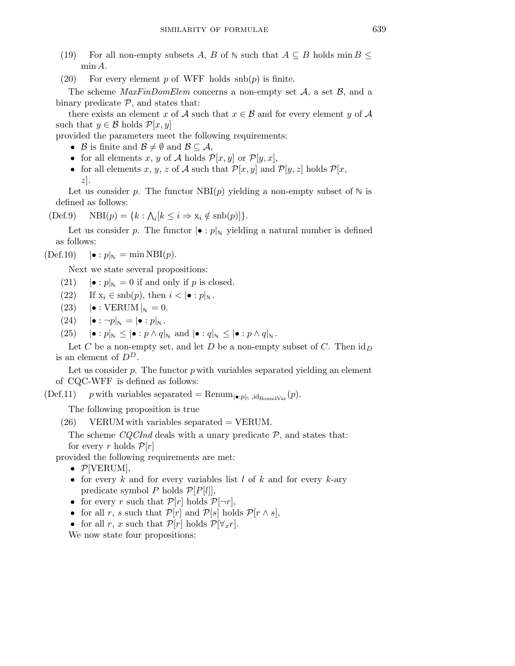- (19) For all non-empty subsets A, B of  $\mathbb N$  such that  $A \subseteq B$  holds min  $B \leq$ min A.
- (20) For every element p of WFF holds  $\text{snb}(p)$  is finite.

The scheme  $\text{MaxFinDom}E$ lem concerns a non-empty set A, a set B, and a binary predicate  $P$ , and states that:

there exists an element x of A such that  $x \in \mathcal{B}$  and for every element y of A such that  $y \in \mathcal{B}$  holds  $\mathcal{P}[x, y]$ 

provided the parameters meet the following requirements:

- B is finite and  $\mathcal{B} \neq \emptyset$  and  $\mathcal{B} \subseteq \mathcal{A}$ ,
- for all elements x, y of A holds  $\mathcal{P}[x,y]$  or  $\mathcal{P}[y,x]$ ,
- for all elements x, y, z of A such that  $\mathcal{P}[x,y]$  and  $\mathcal{P}[y,z]$  holds  $\mathcal{P}[x,$  $z$ ].

Let us consider p. The functor  $NBI(p)$  yielding a non-empty subset of  $\mathbb N$  is defined as follows:

$$
(Def.9) \quad \text{NBI}(p) = \{k : \Lambda_i[k \le i \Rightarrow x_i \notin \text{snb}(p)]\}.
$$

Let us consider p. The functor  $|\bullet : p|_N$  yielding a natural number is defined as follows:

 $(\text{Def.10})$   $|\bullet : p|_{\mathbb{N}} = \min \text{NBI}(p).$ 

Next we state several propositions:

- (21)  $|\bullet : p|_{\mathbb{N}} = 0$  if and only if p is closed.
- (22) If  $x_i \in \text{snb}(p)$ , then  $i < | \bullet : p |_{\mathbb{N}}$ .
- $(23)$   $\bullet$  : VERUM  $\vert_{\mathbb{N}}=0$ .
- $(24)$   $|\bullet : \neg p|_{\mathbb{N}} = |\bullet : p|_{\mathbb{N}}$ .
- $(25)$   $|\bullet : p|_{\mathbb{N}} \leq |\bullet : p \wedge q|_{\mathbb{N}}$  and  $|\bullet : q|_{\mathbb{N}} \leq |\bullet : p \wedge q|_{\mathbb{N}}$ .

Let C be a non-empty set, and let D be a non-empty subset of C. Then  $\mathrm{id}_D$ is an element of  $D^D$ .

Let us consider  $p$ . The functor  $p$  with variables separated yielding an element of CQC-WFF is defined as follows:

 $(\text{Def.11})$  p with variables separated = Renum<sub> $|\bullet : p|_{\mathbb{N}}$ ,  $\text{id}_{\text{BoundVar}}(p)$ .</sub>

The following proposition is true

 $(26)$  VERUM with variables separated = VERUM.

The scheme  $CQCInd$  deals with a unary predicate  $P$ , and states that: for every r holds  $\mathcal{P}[r]$ 

provided the following requirements are met:

- $\mathcal{P}[\text{VERUM}]$ ,
- for every k and for every variables list  $l$  of  $k$  and for every  $k$ -ary predicate symbol P holds  $\mathcal{P}[P[l]]$ ,
- for every r such that  $\mathcal{P}[r]$  holds  $\mathcal{P}[\neg r]$ ,
- for all r, s such that  $\mathcal{P}[r]$  and  $\mathcal{P}[s]$  holds  $\mathcal{P}[r \wedge s]$ ,
- for all r, x such that  $\mathcal{P}[r]$  holds  $\mathcal{P}[\forall_x r]$ .

We now state four propositions: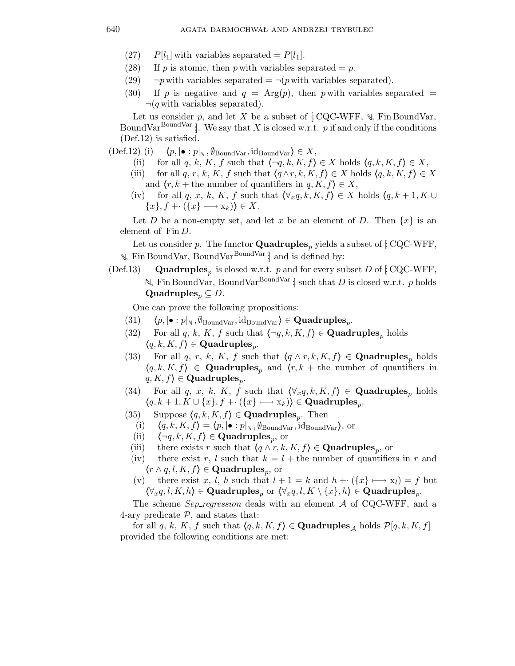- $(27)$  P[l<sub>1</sub>] with variables separated = P[l<sub>1</sub>].
- (28) If p is atomic, then p with variables separated  $= p$ .
- (29)  $\neg p$  with variables separated =  $\neg (p$  with variables separated).
- (30) If p is negative and  $q = \text{Arg}(p)$ , then p with variables separated =  $\neg(q$  with variables separated).

Let us consider p, and let X be a subset of  $[CQC-WFF, N, Fin BoundVar,$ BoundVar<sup>BoundVar</sup> : We say that X is closed w.r.t. p if and only if the conditions (Def.12) is satisfied.

- $(\text{Def.12})$  (i)  $\langle p, |\bullet : p|_{\mathbb{N}}, \emptyset_{\text{BoundVar}}, \text{id}_{\text{BoundVar}} \rangle \in X,$ 
	- (ii) for all q, k, K, f such that  $\{\neg q, k, K, f\} \in X$  holds  $\langle q, k, K, f \rangle \in X$ ,
	- (iii) for all q, r, k, K, f such that  $\langle q \wedge r, k, K, f \rangle \in X$  holds  $\langle q, k, K, f \rangle \in X$ and  $\langle r, k +$  the number of quantifiers in  $q, K, f \rangle \in X$ ,
	- (iv) for all q, x, k, K, f such that  $(\forall_x q, k, K, f) \in X$  holds  $(q, k + 1, K \cup$  $\{x\}, f + \cdot (\{x\} \longmapsto x_k)\}\in X.$

Let D be a non-empty set, and let x be an element of D. Then  $\{x\}$  is an element of  $\text{Fin } D$ .

Let us consider p. The functor **Quadruples**<sub>p</sub> yields a subset of [ $CQC-WFF$ ,  $\mathbb{N}$ , Fin BoundVar, BoundVar<sup>BoundVar</sup> : and is defined by:

(Def.13) **Quadruples**<sub>p</sub> is closed w.r.t. p and for every subset D of [: CQC-WFF, N, Fin BoundVar, BoundVar<sup>BoundVar</sup> : such that D is closed w.r.t. p holds Quadruples<sub>p</sub>  $\subseteq$  *D*.

One can prove the following propositions:

- $(31) \quad \langle p, |\bullet:p|_{\mathbb{N}}, \emptyset_{\mathrm{BoundVar}}, \mathrm{id}_{\mathrm{BoundVar}} \rangle \in \mathbf{Quadruples}_p.$
- (32) For all q, k, K, f such that  $\langle \neg q, k, K, f \rangle \in \mathbf{Quadruples}_p$  holds  $\langle q, k, K, f \rangle \in \mathbf{Quadruples}_p.$
- (33) For all q, r, k, K, f such that  $\langle q \wedge r, k, K, f \rangle \in \mathbf{Quadruples}_n$  holds  $\langle q, k, K, f \rangle \in \mathbf{Quadruples}_p$  and  $\langle r, k + \text{the number of quantifiers in } \rangle$  $q, K, f$ )  $\in$  Quadruples<sub>p</sub>.
- (34) For all q, x, k, K, f such that  $(\forall_x q, k, K, f) \in \mathbf{Quadruples}_p$  holds  $\langle q, k+1, K \cup \{x\}, f + \cdot (\{x\} \longmapsto x_k) \rangle \in \textbf{Quadruples}_p.$
- (35) Suppose  $\langle q, k, K, f \rangle \in \mathbf{Quadruples}_p$ . Then
	- (i)  $\langle q, k, K, f \rangle = \langle p, |\bullet : p|_{\mathbb{N}}, \emptyset_{\text{BoundVar}}, \text{id}_{\text{BoundVar}} \rangle,$  or
- (ii)  $\langle \neg q, k, K, f \rangle \in \mathbf{Quadruples}_p$ , or
- (iii) there exists r such that  $\langle q \wedge r, k, K, f \rangle \in \mathbf{Quadruples}_p$ , or
- (iv) there exist r, l such that  $k = l +$  the number of quantifiers in r and  $\langle r \wedge q, l, K, f \rangle \in \mathbf{Quadruples}_p$ , or
- (v) there exist x, l, h such that  $l + 1 = k$  and  $h + \cdots + (x) \rightarrow x_l = f$  but  $\langle \forall_x q, l, K, h \rangle \in \mathbf{Quadruples}_p$  or  $\langle \forall_x q, l, K \setminus \{x\}, h \rangle \in \mathbf{Quadruples}_p$ .

The scheme  $Sep\_regression$  deals with an element  $A$  of CQC-WFF, and a 4-ary predicate  $P$ , and states that:

for all q, k, K, f such that  $\langle q, k, K, f \rangle \in \mathbf{Quadruples}_{\mathcal{A}}$  holds  $\mathcal{P}[q, k, K, f]$ provided the following conditions are met: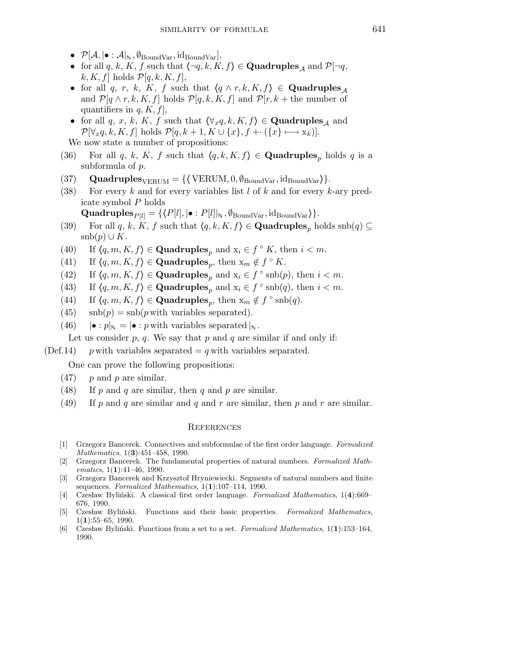- $\mathcal{P}[\mathcal{A}, \vert \bullet : \mathcal{A} \vert_{\mathbb{N}}, \emptyset_{\mathrm{BoundVar}}, \mathrm{id}_{\mathrm{BoundVar}}],$
- for all q, k, K, f such that  $\langle \neg q, k, K, f \rangle \in \mathbf{Quadruples}_{\mathcal{A}}$  and  $\mathcal{P}[\neg q,$  $k, K, f$  holds  $\mathcal{P}[q, k, K, f],$
- for all q, r, k, K, f such that  $\langle q \wedge r, k, K, f \rangle \in \textbf{Quadruples}_{\mathcal{A}}$ and  $\mathcal{P}[q \wedge r, k, K, f]$  holds  $\mathcal{P}[q, k, K, f]$  and  $\mathcal{P}[r, k +$  the number of quantifiers in  $q, K, f$ ,
- for all q, x, k, K, f such that  $\langle \forall_x q, k, K, f \rangle \in \mathbf{Quadruples}_{\mathcal{A}}$  and  $\mathcal{P}[\forall_x q, k, K, f]$  holds  $\mathcal{P}[q, k+1, K \cup \{x\}, f + \{x\} \longmapsto x_k)].$ We now state a number of propositions:
- 
- (36) For all q, k, K, f such that  $\langle q, k, K, f \rangle \in \mathbf{Quadruples}_p$  holds q is a subformula of p.
- (37) **Quadruples** $_{VERUM} = {\text{VERUM}}, 0, \emptyset_{\text{BoundVar}}, \text{id}_{\text{BoundVar}}$ .
- (38) For every k and for every variables list  $l$  of  $k$  and for every k-ary predicate symbol P holds
	- $\textbf{Quadruples}_{P[l]} = \{ \langle P[l], |\bullet : P[l]|_{\mathbb{N}}, \emptyset_{\text{BoundVar}}, \text{id}_{\text{BoundVar}} \rangle \}.$
- (39) For all q, k, K, f such that  $\langle q, k, K, f \rangle \in \mathbf{Quadruples}_n$  holds  $\mathrm{snb}(q) \subseteq$  $\operatorname{snb}(p) \cup K$ .
- (40) If  $\langle q, m, K, f \rangle \in \textbf{Quadruples}_p$  and  $x_i \in f \circ K$ , then  $i < m$ .
- (41) If  $\langle q, m, K, f \rangle \in \textbf{Quadruples}_p$ , then  $x_m \notin f^\circ K$ .
- (42) If  $\langle q, m, K, f \rangle \in \textbf{Quadruples}_p$  and  $x_i \in f \circ \text{snb}(p)$ , then  $i < m$ .
- (43) If  $\langle q, m, K, f \rangle \in \textbf{Quadruples}_p$  and  $x_i \in f \circ \text{snb}(q)$ , then  $i < m$ .
- (44) If  $\langle q, m, K, f \rangle \in \textbf{Quadruples}_p$ , then  $x_m \notin f^\circ \text{snb}(q)$ .
- (45)  $\operatorname{snb}(p) = \operatorname{snb}(p \text{ with variables separated}).$
- (46)  $|\bullet : p|_{\mathbb{N}} = |\bullet : p$  with variables separated  $|_{\mathbb{N}}$ .

Let us consider  $p$ ,  $q$ . We say that  $p$  and  $q$  are similar if and only if:

(Def.14) p with variables separated  $= q$  with variables separated.

One can prove the following propositions:

- $(47)$  p and p are similar.
- (48) If p and q are similar, then q and p are similar.
- (49) If p and q are similar and q and r are similar, then p and r are similar.

## **REFERENCES**

- [1] Grzegorz Bancerek. Connectives and subformulae of the first order language. Formalized Mathematics, 1(3):451-458, 1990.
- [2] Grzegorz Bancerek. The fundamental properties of natural numbers. Formalized Math $ematics, 1(1):41–46, 1990.$
- [3] Grzegorz Bancerek and Krzysztof Hryniewiecki. Segments of natural numbers and finite sequences. Formalized Mathematics,  $1(1):107-114$ , 1990.
- [4] Czesław Byliński. A classical first order language. Formalized Mathematics, 1(4):669-676, 1990.
- [5] Czesław Byliński. Functions and their basic properties. Formalized Mathematics,  $1(1):55-65, 1990.$
- [6] Czesław Byliński. Functions from a set to a set. Formalized Mathematics,  $1(1)$ :153–164, 1990.